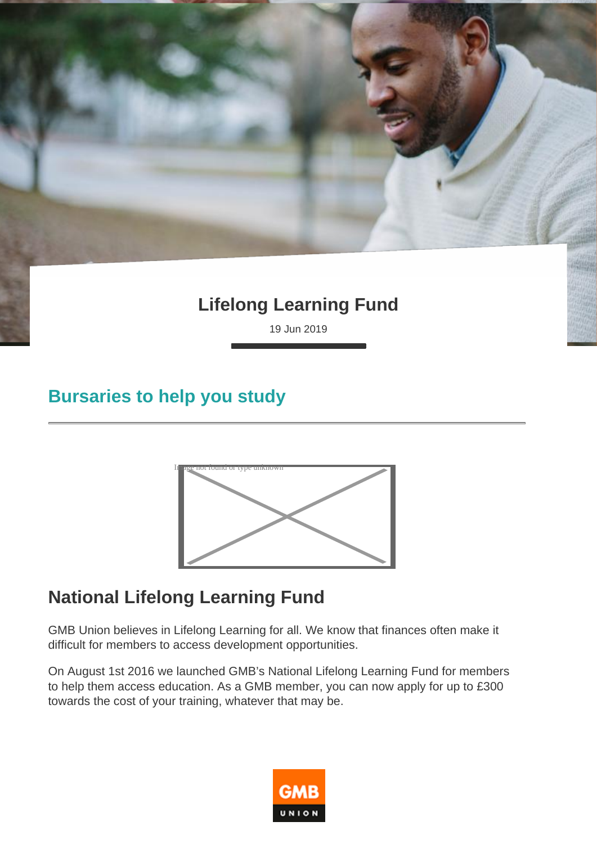# **Lifelong Learning Fund**

19 Jun 2019

#### **Bursaries to help you study**



# **National Lifelong Learning Fund**

GMB Union believes in Lifelong Learning for all. We know that finances often make it difficult for members to access development opportunities.

On August 1st 2016 we launched GMB's National Lifelong Learning Fund for members to help them access education. As a GMB member, you can now apply for up to £300 towards the cost of your training, whatever that may be.

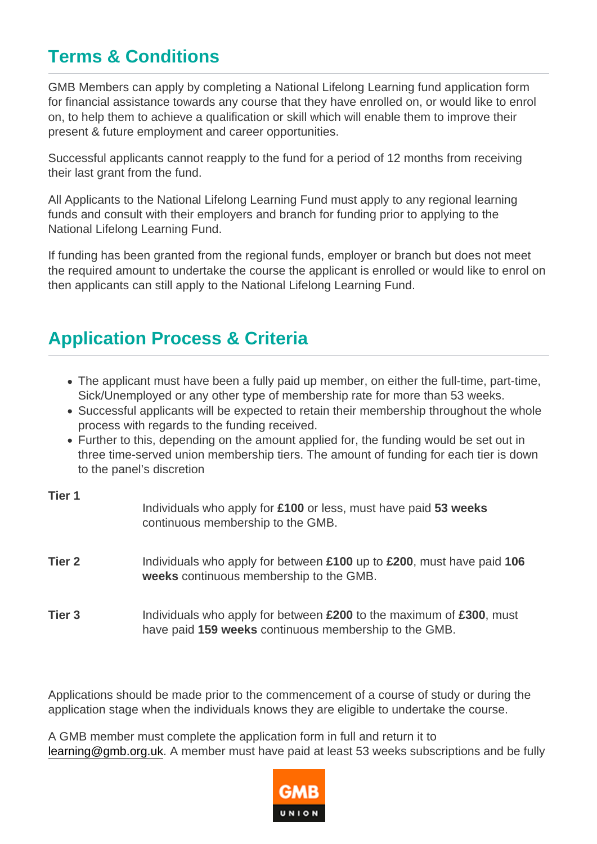# Terms & Conditions

GMB Members can apply by completing a National Lifelong Learning fund application form for financial assistance towards any course that they have enrolled on, or would like to enrol on, to help them to achieve a qualification or skill which will enable them to improve their present & future employment and career opportunities.

Successful applicants cannot reapply to the fund for a period of 12 months from receiving their last grant from the fund.

All Applicants to the National Lifelong Learning Fund must apply to any regional learning funds and consult with their employers and branch for funding prior to applying to the National Lifelong Learning Fund.

If funding has been granted from the regional funds, employer or branch but does not meet the required amount to undertake the course the applicant is enrolled or would like to enrol on then applicants can still apply to the National Lifelong Learning Fund.

#### Application Process & Criteria

- The applicant must have been a fully paid up member, on either the full-time, part-time, Sick/Unemployed or any other type of membership rate for more than 53 weeks.
- Successful applicants will be expected to retain their membership throughout the whole process with regards to the funding received.
- Further to this, depending on the amount applied for, the funding would be set out in three time-served union membership tiers. The amount of funding for each tier is down to the panel's discretion

| Tier 1 | Individuals who apply for £100 or less, must have paid 53 weeks<br>continuous membership to the GMB.                         |
|--------|------------------------------------------------------------------------------------------------------------------------------|
| Tier 2 | Individuals who apply for between £100 up to £200, must have paid 106<br>weeks continuous membership to the GMB.             |
| Tier 3 | Individuals who apply for between £200 to the maximum of £300, must<br>have paid 159 weeks continuous membership to the GMB. |

Applications should be made prior to the commencement of a course of study or during the application stage when the individuals knows they are eligible to undertake the course.

A GMB member must complete the application form in full and return it to [learning@gmb.org.uk.](mailto:learning@gmb.org.uk) A member must have paid at least 53 weeks subscriptions and be fully